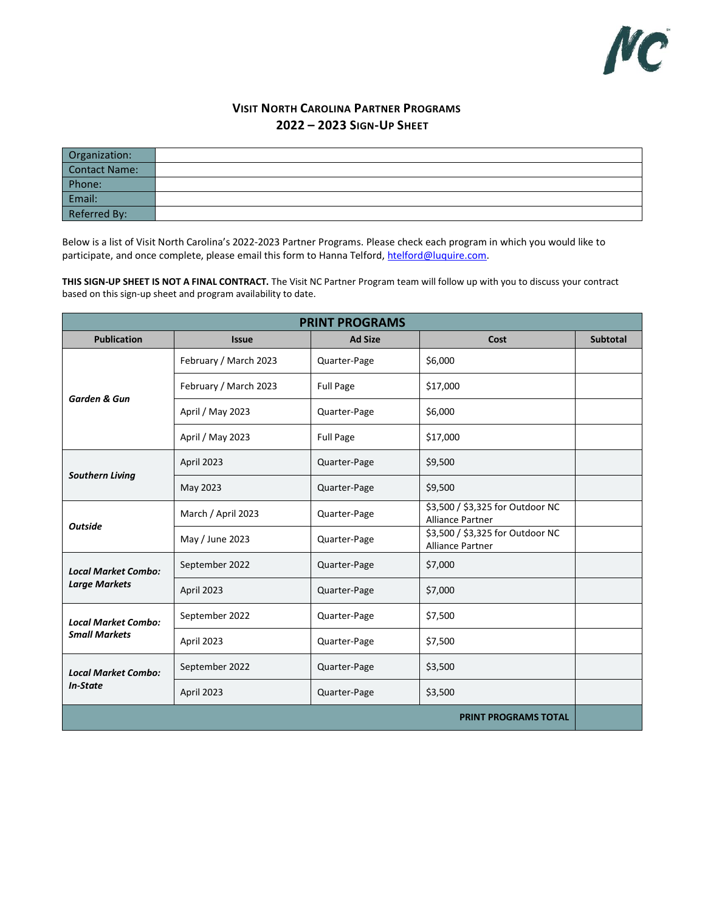

# **VISIT NORTH CAROLINA PARTNER PROGRAMS 2022 – 2023 SIGN-UP SHEET**

| Organization:        |  |
|----------------------|--|
| <b>Contact Name:</b> |  |
| Phone:               |  |
| Email:               |  |
| Referred By:         |  |

Below is a list of Visit North Carolina's 2022-2023 Partner Programs. Please check each program in which you would like to participate, and once complete, please email this form to Hanna Telford, htelford@luquire.com.

**THIS SIGN-UP SHEET IS NOT A FINAL CONTRACT.** The Visit NC Partner Program team will follow up with you to discuss your contract based on this sign-up sheet and program availability to date.

| <b>PRINT PROGRAMS</b>       |                       |                  |                                                             |                 |
|-----------------------------|-----------------------|------------------|-------------------------------------------------------------|-----------------|
| <b>Publication</b>          | <b>Issue</b>          | <b>Ad Size</b>   | Cost                                                        | <b>Subtotal</b> |
|                             | February / March 2023 | Quarter-Page     | \$6,000                                                     |                 |
| <b>Garden &amp; Gun</b>     | February / March 2023 | <b>Full Page</b> | \$17,000                                                    |                 |
|                             | April / May 2023      | Quarter-Page     | \$6,000                                                     |                 |
|                             | April / May 2023      | <b>Full Page</b> | \$17,000                                                    |                 |
|                             | April 2023            | Quarter-Page     | \$9,500                                                     |                 |
| <b>Southern Living</b>      | May 2023              | Quarter-Page     | \$9,500                                                     |                 |
|                             | March / April 2023    | Quarter-Page     | \$3,500 / \$3,325 for Outdoor NC<br><b>Alliance Partner</b> |                 |
| <b>Outside</b>              | May / June 2023       | Quarter-Page     | \$3,500 / \$3,325 for Outdoor NC<br>Alliance Partner        |                 |
| <b>Local Market Combo:</b>  | September 2022        | Quarter-Page     | \$7,000                                                     |                 |
| <b>Large Markets</b>        | April 2023            | Quarter-Page     | \$7,000                                                     |                 |
| <b>Local Market Combo:</b>  | September 2022        | Quarter-Page     | \$7,500                                                     |                 |
| <b>Small Markets</b>        | April 2023            | Quarter-Page     | \$7,500                                                     |                 |
| <b>Local Market Combo:</b>  | September 2022        | Quarter-Page     | \$3,500                                                     |                 |
| <b>In-State</b>             | April 2023            | Quarter-Page     | \$3,500                                                     |                 |
| <b>PRINT PROGRAMS TOTAL</b> |                       |                  |                                                             |                 |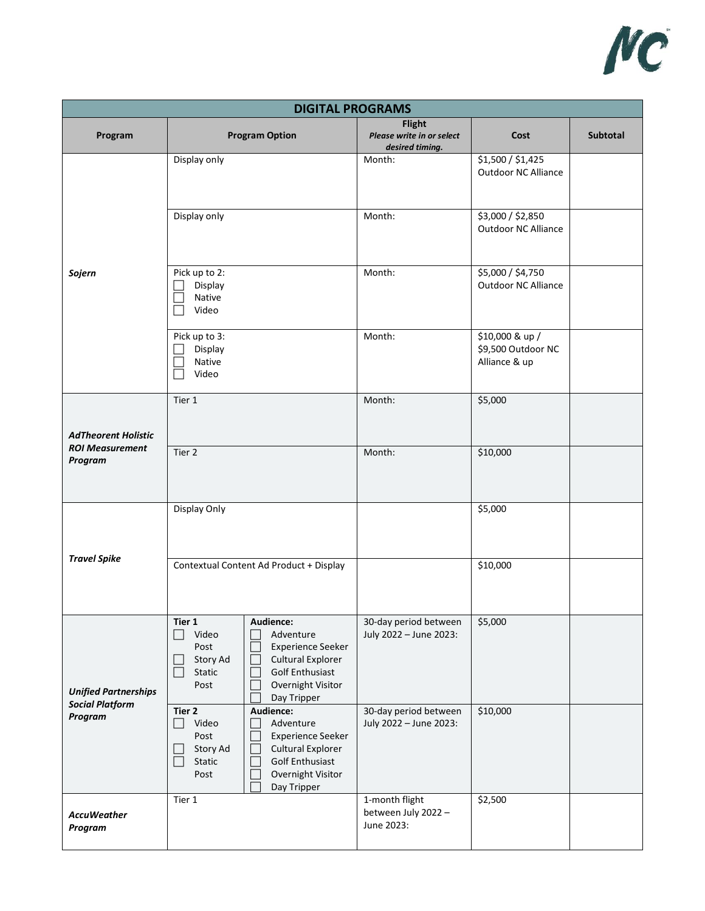

| <b>DIGITAL PROGRAMS</b>           |                                                                                                                                                                                                                                |                                                               |                                                        |          |
|-----------------------------------|--------------------------------------------------------------------------------------------------------------------------------------------------------------------------------------------------------------------------------|---------------------------------------------------------------|--------------------------------------------------------|----------|
| Program                           | <b>Program Option</b>                                                                                                                                                                                                          | <b>Flight</b><br>Please write in or select<br>desired timing. | Cost                                                   | Subtotal |
|                                   | Display only                                                                                                                                                                                                                   | Month:                                                        | \$1,500 / \$1,425<br><b>Outdoor NC Alliance</b>        |          |
|                                   | Display only                                                                                                                                                                                                                   | Month:                                                        | \$3,000 / \$2,850<br>Outdoor NC Alliance               |          |
| Sojern                            | Pick up to 2:<br>Display<br>Native<br>Video                                                                                                                                                                                    | Month:                                                        | \$5,000 / \$4,750<br><b>Outdoor NC Alliance</b>        |          |
|                                   | Pick up to 3:<br>Display<br>Native<br>Video                                                                                                                                                                                    | Month:                                                        | \$10,000 & up /<br>\$9,500 Outdoor NC<br>Alliance & up |          |
| <b>AdTheorent Holistic</b>        | Tier 1                                                                                                                                                                                                                         | Month:                                                        | \$5,000                                                |          |
| <b>ROI Measurement</b><br>Program | Tier 2                                                                                                                                                                                                                         | Month:                                                        | \$10,000                                               |          |
|                                   | Display Only                                                                                                                                                                                                                   |                                                               | \$5,000                                                |          |
| <b>Travel Spike</b>               | Contextual Content Ad Product + Display                                                                                                                                                                                        |                                                               | \$10,000                                               |          |
| <b>Unified Partnerships</b>       | Audience:<br>Tier 1<br>Video<br>Adventure<br>$\Box$<br>Post<br><b>Experience Seeker</b><br>L<br><b>Cultural Explorer</b><br>Story Ad<br>Static<br><b>Golf Enthusiast</b><br>$\Box$<br>Overnight Visitor<br>Post<br>Day Tripper | 30-day period between<br>July 2022 - June 2023:               | \$5,000                                                |          |
| <b>Social Platform</b><br>Program | Audience:<br>Tier 2<br>Video<br>Adventure<br>$\Box$<br>Post<br><b>Experience Seeker</b><br>Cultural Explorer<br>Story Ad<br>Static<br><b>Golf Enthusiast</b><br>Overnight Visitor<br>Post<br>Day Tripper                       | 30-day period between<br>July 2022 - June 2023:               | \$10,000                                               |          |
| <b>AccuWeather</b><br>Program     | Tier 1                                                                                                                                                                                                                         | 1-month flight<br>between July 2022 -<br>June 2023:           | \$2,500                                                |          |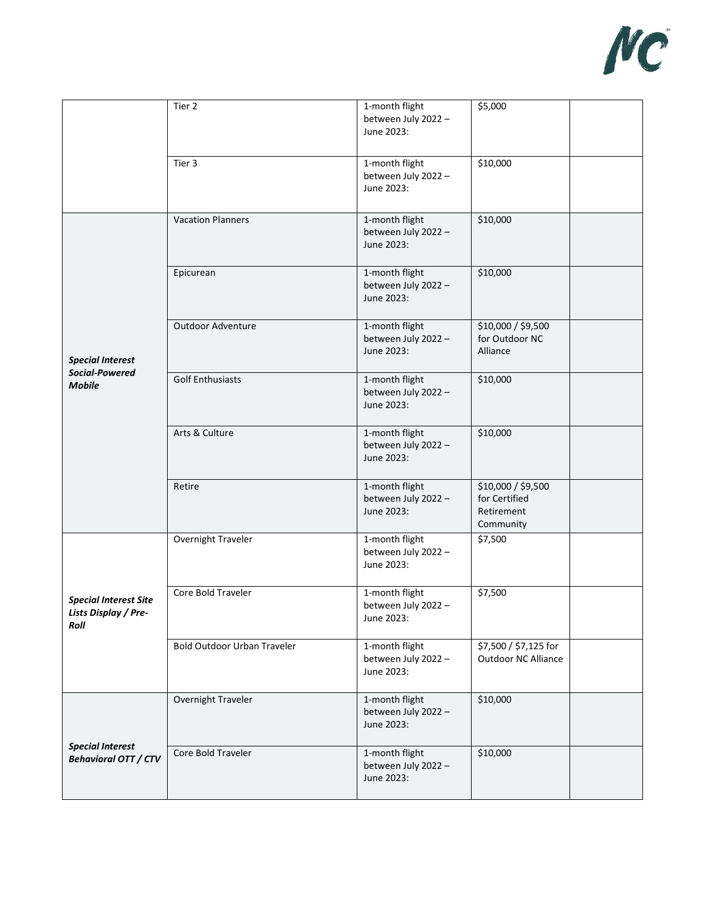

|                                                              | Tier 2                             | 1-month flight<br>between July 2022 -<br>June 2023: | \$5,000                                                        |
|--------------------------------------------------------------|------------------------------------|-----------------------------------------------------|----------------------------------------------------------------|
|                                                              | Tier 3                             | 1-month flight<br>between July 2022 -<br>June 2023: | \$10,000                                                       |
|                                                              | <b>Vacation Planners</b>           | 1-month flight<br>between July 2022 -<br>June 2023: | \$10,000                                                       |
|                                                              | Epicurean                          | 1-month flight<br>between July 2022 -<br>June 2023: | \$10,000                                                       |
| <b>Special Interest</b>                                      | Outdoor Adventure                  | 1-month flight<br>between July 2022 -<br>June 2023: | \$10,000 / \$9,500<br>for Outdoor NC<br>Alliance               |
| Social-Powered<br><b>Mobile</b>                              | <b>Golf Enthusiasts</b>            | 1-month flight<br>between July 2022 -<br>June 2023: | \$10,000                                                       |
|                                                              | Arts & Culture                     | 1-month flight<br>between July 2022 -<br>June 2023: | \$10,000                                                       |
|                                                              | Retire                             | 1-month flight<br>between July 2022 -<br>June 2023: | \$10,000 / \$9,500<br>for Certified<br>Retirement<br>Community |
|                                                              | Overnight Traveler                 | 1-month flight<br>between July 2022 -<br>June 2023: | \$7,500                                                        |
| <b>Special Interest Site</b><br>Lists Display / Pre-<br>Roll | Core Bold Traveler                 | 1-month flight<br>between July 2022 -<br>June 2023: | \$7,500                                                        |
|                                                              | <b>Bold Outdoor Urban Traveler</b> | 1-month flight<br>between July 2022 -<br>June 2023: | \$7,500 / \$7,125 for<br>Outdoor NC Alliance                   |
| <b>Special Interest</b><br><b>Behavioral OTT / CTV</b>       | Overnight Traveler                 | 1-month flight<br>between July 2022 -<br>June 2023: | \$10,000                                                       |
|                                                              | Core Bold Traveler                 | 1-month flight<br>between July 2022 -<br>June 2023: | \$10,000                                                       |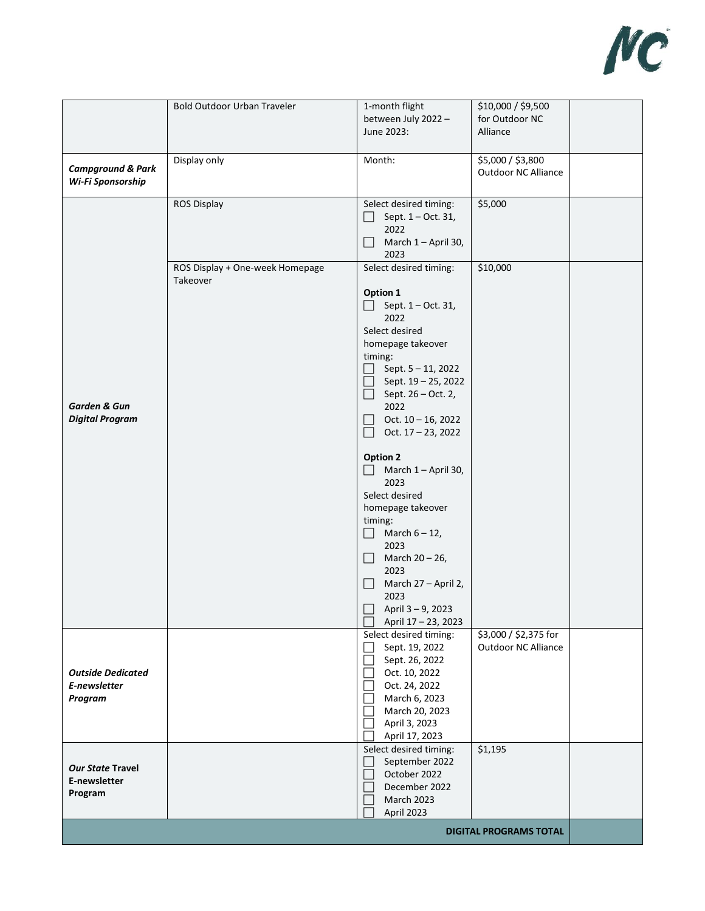

|                                                     | <b>Bold Outdoor Urban Traveler</b>          | 1-month flight<br>between July 2022 -<br>June 2023:                                                                                                                                                                                                                                                                                                                                                                                                                                                                                                                     | \$10,000 / \$9,500<br>for Outdoor NC<br>Alliance    |  |
|-----------------------------------------------------|---------------------------------------------|-------------------------------------------------------------------------------------------------------------------------------------------------------------------------------------------------------------------------------------------------------------------------------------------------------------------------------------------------------------------------------------------------------------------------------------------------------------------------------------------------------------------------------------------------------------------------|-----------------------------------------------------|--|
| <b>Campground &amp; Park</b><br>Wi-Fi Sponsorship   | Display only                                | Month:                                                                                                                                                                                                                                                                                                                                                                                                                                                                                                                                                                  | \$5,000 / \$3,800<br>Outdoor NC Alliance            |  |
|                                                     | <b>ROS Display</b>                          | Select desired timing:<br>Sept. 1 - Oct. 31,<br>$\Box$<br>2022<br>March 1 - April 30,<br>$\vert \ \ \vert$<br>2023                                                                                                                                                                                                                                                                                                                                                                                                                                                      | \$5,000                                             |  |
| <b>Garden &amp; Gun</b><br><b>Digital Program</b>   | ROS Display + One-week Homepage<br>Takeover | Select desired timing:<br>Option 1<br>Sept. 1 - Oct. 31,<br>2022<br>Select desired<br>homepage takeover<br>timing:<br>Sept. 5-11, 2022<br>$\Box$<br>Sept. 19 - 25, 2022<br>$\Box$<br>Sept. 26 – Oct. 2,<br>$\Box$<br>2022<br>Oct. $10 - 16$ , 2022<br>$\Box$<br>Oct. 17 - 23, 2022<br>$\Box$<br><b>Option 2</b><br>March 1 - April 30,<br>2023<br>Select desired<br>homepage takeover<br>timing:<br>March $6 - 12$ ,<br>$\Box$<br>2023<br>March 20 - 26,<br>$\Box$<br>2023<br>March 27 - April 2,<br>$\Box$<br>2023<br>April 3-9, 2023<br>$\Box$<br>April 17 - 23, 2023 | \$10,000                                            |  |
| <b>Outside Dedicated</b><br>E-newsletter<br>Program |                                             | Select desired timing:<br>Sept. 19, 2022<br>Sept. 26, 2022<br>Oct. 10, 2022<br>Oct. 24, 2022<br>March 6, 2023<br>March 20, 2023<br>April 3, 2023<br>April 17, 2023                                                                                                                                                                                                                                                                                                                                                                                                      | \$3,000 / \$2,375 for<br><b>Outdoor NC Alliance</b> |  |
| <b>Our State Travel</b><br>E-newsletter<br>Program  |                                             | Select desired timing:<br>September 2022<br>$\vert \ \ \vert$<br>October 2022<br>December 2022<br><b>March 2023</b><br>April 2023                                                                                                                                                                                                                                                                                                                                                                                                                                       | \$1,195                                             |  |
| <b>DIGITAL PROGRAMS TOTAL</b>                       |                                             |                                                                                                                                                                                                                                                                                                                                                                                                                                                                                                                                                                         |                                                     |  |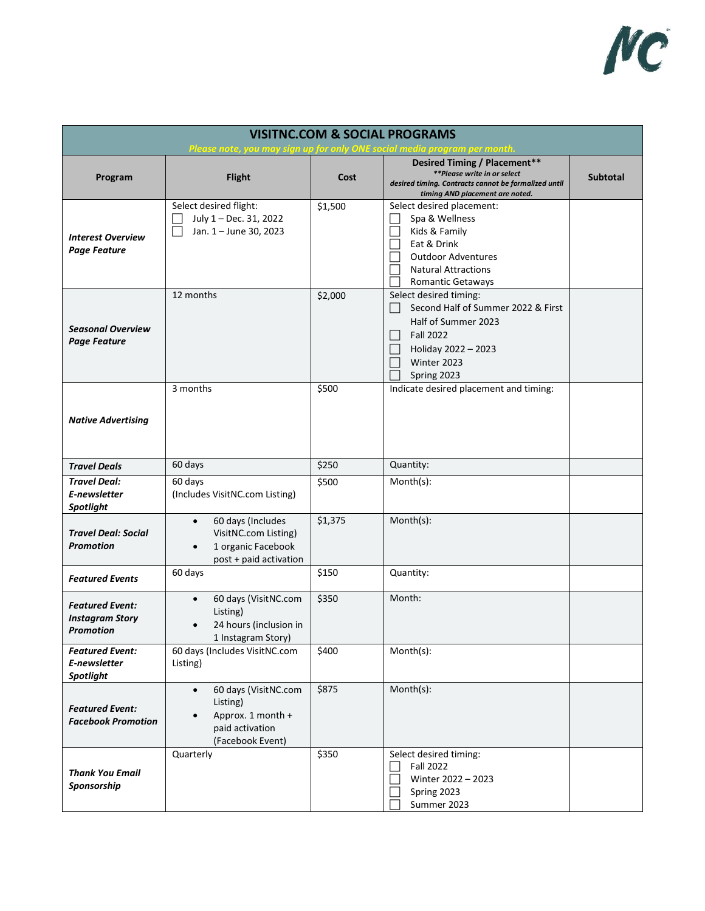

| <b>VISITNC.COM &amp; SOCIAL PROGRAMS</b><br><u>Please note, you may sign up for only ONE social media program per month</u> |                                                                                                                     |         |                                                                                                                                                                    |                 |
|-----------------------------------------------------------------------------------------------------------------------------|---------------------------------------------------------------------------------------------------------------------|---------|--------------------------------------------------------------------------------------------------------------------------------------------------------------------|-----------------|
| Program                                                                                                                     | <b>Flight</b>                                                                                                       | Cost    | Desired Timing / Placement**<br>**Please write in or select<br>desired timing. Contracts cannot be formalized until<br>timing AND placement are noted.             | <b>Subtotal</b> |
| <b>Interest Overview</b><br><b>Page Feature</b>                                                                             | Select desired flight:<br>July 1 - Dec. 31, 2022<br>Jan. 1 - June 30, 2023                                          | \$1,500 | Select desired placement:<br>Spa & Wellness<br>Kids & Family<br>Eat & Drink<br><b>Outdoor Adventures</b><br><b>Natural Attractions</b><br><b>Romantic Getaways</b> |                 |
| <b>Seasonal Overview</b><br><b>Page Feature</b>                                                                             | 12 months                                                                                                           | \$2,000 | Select desired timing:<br>Second Half of Summer 2022 & First<br>Half of Summer 2023<br><b>Fall 2022</b><br>×.<br>Holiday 2022 - 2023<br>Winter 2023<br>Spring 2023 |                 |
| <b>Native Advertising</b>                                                                                                   | 3 months                                                                                                            | \$500   | Indicate desired placement and timing:                                                                                                                             |                 |
| <b>Travel Deals</b>                                                                                                         | 60 days                                                                                                             | \$250   | Quantity:                                                                                                                                                          |                 |
| <b>Travel Deal:</b><br>E-newsletter<br><b>Spotlight</b>                                                                     | 60 days<br>(Includes VisitNC.com Listing)                                                                           | \$500   | Month(s):                                                                                                                                                          |                 |
| <b>Travel Deal: Social</b><br>Promotion                                                                                     | 60 days (Includes<br>$\bullet$<br>VisitNC.com Listing)<br>1 organic Facebook<br>$\bullet$<br>post + paid activation | \$1,375 | Month(s):                                                                                                                                                          |                 |
| <b>Featured Events</b>                                                                                                      | 60 days                                                                                                             | \$150   | Quantity:                                                                                                                                                          |                 |
| <b>Featured Event:</b><br><b>Instagram Story</b><br><b>Promotion</b>                                                        | 60 days (VisitNC.com<br>Listing)<br>24 hours (inclusion in<br>1 Instagram Story)                                    | \$350   | Month:                                                                                                                                                             |                 |
| <b>Featured Event:</b><br>E-newsletter<br><b>Spotlight</b>                                                                  | 60 days (Includes VisitNC.com<br>Listing)                                                                           | \$400   | Month(s):                                                                                                                                                          |                 |
| <b>Featured Event:</b><br><b>Facebook Promotion</b>                                                                         | 60 days (VisitNC.com<br>$\bullet$<br>Listing)<br>Approx. 1 month +<br>paid activation<br>(Facebook Event)           | \$875   | $Month(s)$ :                                                                                                                                                       |                 |
| Thank You Email<br>Sponsorship                                                                                              | Quarterly                                                                                                           | \$350   | Select desired timing:<br><b>Fall 2022</b><br>Winter 2022 - 2023<br>Spring 2023<br>Summer 2023                                                                     |                 |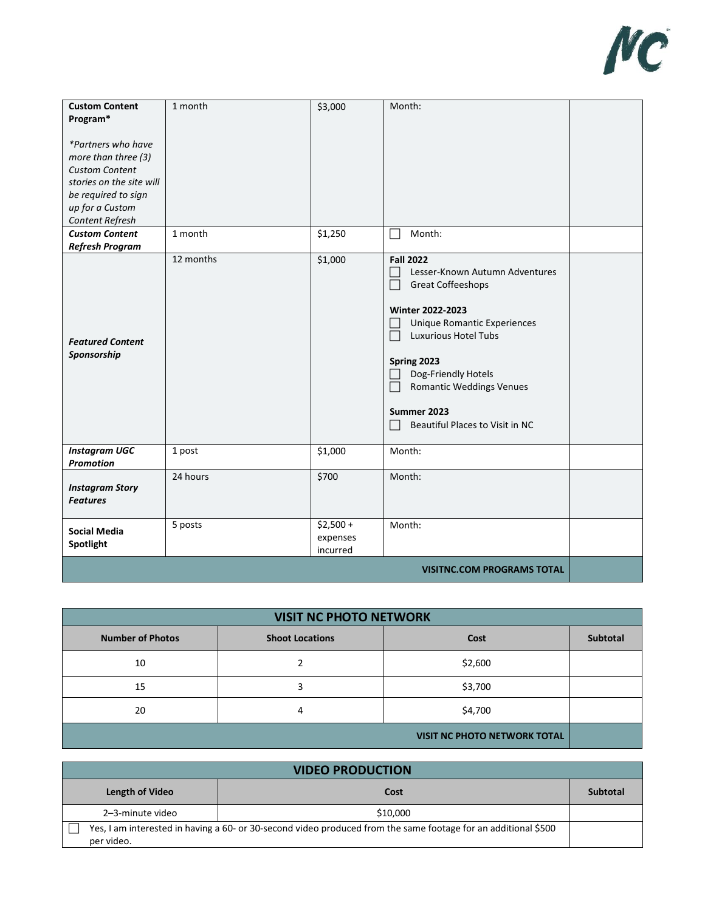

| <b>Custom Content</b><br>Program*<br>*Partners who have<br>more than three (3)<br><b>Custom Content</b><br>stories on the site will<br>be required to sign<br>up for a Custom<br>Content Refresh | 1 month   | \$3,000                            | Month:                                                                                                                                                                                                                                                                                                                |  |
|--------------------------------------------------------------------------------------------------------------------------------------------------------------------------------------------------|-----------|------------------------------------|-----------------------------------------------------------------------------------------------------------------------------------------------------------------------------------------------------------------------------------------------------------------------------------------------------------------------|--|
| <b>Custom Content</b><br><b>Refresh Program</b>                                                                                                                                                  | 1 month   | \$1,250                            | Month:                                                                                                                                                                                                                                                                                                                |  |
| <b>Featured Content</b><br>Sponsorship                                                                                                                                                           | 12 months | \$1,000                            | <b>Fall 2022</b><br>Lesser-Known Autumn Adventures<br>Great Coffeeshops<br>$\mathbf{L}$<br>Winter 2022-2023<br><b>Unique Romantic Experiences</b><br><b>Luxurious Hotel Tubs</b><br>$\Box$<br>Spring 2023<br>Dog-Friendly Hotels<br><b>Romantic Weddings Venues</b><br>Summer 2023<br>Beautiful Places to Visit in NC |  |
| <b>Instagram UGC</b><br><b>Promotion</b>                                                                                                                                                         | 1 post    | \$1,000                            | Month:                                                                                                                                                                                                                                                                                                                |  |
| <b>Instagram Story</b><br><b>Features</b>                                                                                                                                                        | 24 hours  | \$700                              | Month:                                                                                                                                                                                                                                                                                                                |  |
| <b>Social Media</b><br>Spotlight                                                                                                                                                                 | 5 posts   | $$2,500 +$<br>expenses<br>incurred | Month:                                                                                                                                                                                                                                                                                                                |  |
|                                                                                                                                                                                                  |           |                                    | <b>VISITNC.COM PROGRAMS TOTAL</b>                                                                                                                                                                                                                                                                                     |  |

| <b>VISIT NC PHOTO NETWORK</b>       |                        |         |                 |
|-------------------------------------|------------------------|---------|-----------------|
| <b>Number of Photos</b>             | <b>Shoot Locations</b> | Cost    | <b>Subtotal</b> |
| 10                                  |                        | \$2,600 |                 |
| 15                                  | З                      | \$3,700 |                 |
| 20                                  | 4                      | \$4,700 |                 |
| <b>VISIT NC PHOTO NETWORK TOTAL</b> |                        |         |                 |

| <b>VIDEO PRODUCTION</b> |                                                                                                                |          |  |
|-------------------------|----------------------------------------------------------------------------------------------------------------|----------|--|
| Length of Video         | Cost                                                                                                           | Subtotal |  |
| 2-3-minute video        | \$10,000                                                                                                       |          |  |
| per video.              | Yes, I am interested in having a 60- or 30-second video produced from the same footage for an additional \$500 |          |  |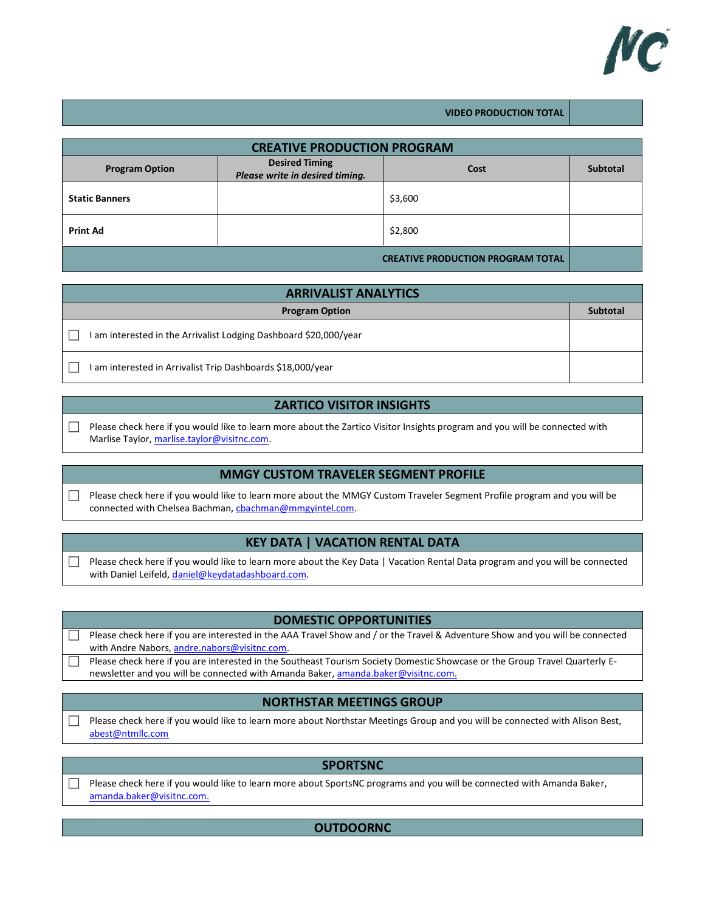

|  | <b>VIDEO PRODUCTION TOTAL</b> |
|--|-------------------------------|

| <b>CREATIVE PRODUCTION PROGRAM</b>       |                                                          |         |                 |
|------------------------------------------|----------------------------------------------------------|---------|-----------------|
| <b>Program Option</b>                    | <b>Desired Timing</b><br>Please write in desired timing. | Cost    | <b>Subtotal</b> |
| <b>Static Banners</b>                    |                                                          | \$3,600 |                 |
| <b>Print Ad</b>                          |                                                          | \$2,800 |                 |
| <b>CREATIVE PRODUCTION PROGRAM TOTAL</b> |                                                          |         |                 |

| <b>ARRIVALIST ANALYTICS</b>                                       |                 |  |  |
|-------------------------------------------------------------------|-----------------|--|--|
| <b>Program Option</b>                                             | <b>Subtotal</b> |  |  |
| I am interested in the Arrivalist Lodging Dashboard \$20,000/year |                 |  |  |
| I am interested in Arrivalist Trip Dashboards \$18,000/year       |                 |  |  |

# **ZARTICO VISITOR INSIGHTS**

 $\Box$  Please check here if you would like to learn more about the Zartico Visitor Insights program and you will be connected with Marlise Taylor, [marlise.taylor@visitnc.com.](mailto:marlise.taylor@visitnc.com)

## **MMGY CUSTOM TRAVELER SEGMENT PROFILE**

Please check here if you would like to learn more about the MMGY Custom Traveler Segment Profile program and you will be connected with Chelsea Bachman, chachman@mmgyintel.com.

#### **KEY DATA | VACATION RENTAL DATA**

Please check here if you would like to learn more about the Key Data | Vacation Rental Data program and you will be connected with Daniel Leifeld, [daniel@keydatadashboard.com.](mailto:daniel@keydatadashboard.com)

#### **DOMESTIC OPPORTUNITIES**

| Please check here if you are interested in the AAA Travel Show and / or the Travel & Adventure Show and you will be connected |
|-------------------------------------------------------------------------------------------------------------------------------|
| with Andre Nabors, andre.nabors@visitnc.com.                                                                                  |

Please check here if you are interested in the Southeast Tourism Society Domestic Showcase or the Group Travel Quarterly Enewsletter and you will be connected with Amanda Baker, [amanda.baker@visitnc.com.](mailto:amanda.baker@visitnc.com)

## **NORTHSTAR MEETINGS GROUP**

Please check here if you would like to learn more about Northstar Meetings Group and you will be connected with Alison Best, [abest@ntmllc.com](mailto:abest@ntmllc.com)

| <b>SPORTSNC</b>                                                                                                                                     |
|-----------------------------------------------------------------------------------------------------------------------------------------------------|
| Please check here if you would like to learn more about SportsNC programs and you will be connected with Amanda Baker,<br>amanda.baker@visitnc.com. |
|                                                                                                                                                     |

### **OUTDOORNC**